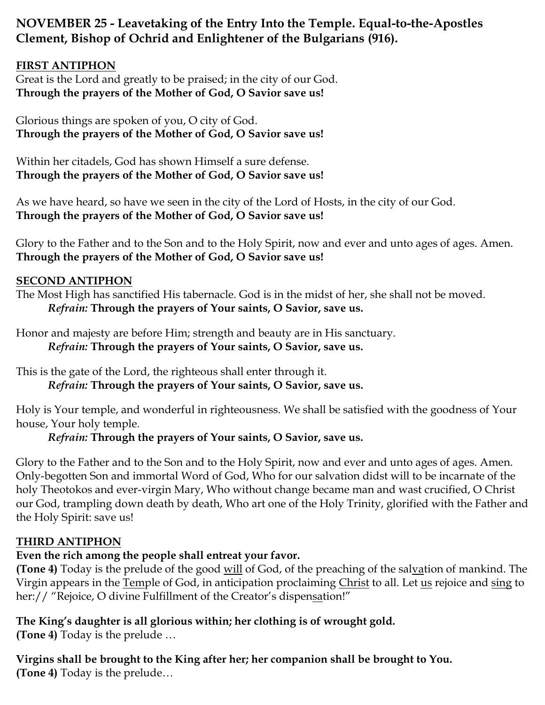# **NOVEMBER 25 - Leavetaking of the Entry Into the Temple. Equal-to-the-Apostles Clement, Bishop of Ochrid and Enlightener of the Bulgarians (916).**

## **FIRST ANTIPHON**

Great is the Lord and greatly to be praised; in the city of our God. **Through the prayers of the Mother of God, O Savior save us!**

Glorious things are spoken of you, O city of God. **Through the prayers of the Mother of God, O Savior save us!**

Within her citadels, God has shown Himself a sure defense. **Through the prayers of the Mother of God, O Savior save us!**

As we have heard, so have we seen in the city of the Lord of Hosts, in the city of our God. **Through the prayers of the Mother of God, O Savior save us!**

Glory to the Father and to the Son and to the Holy Spirit, now and ever and unto ages of ages. Amen. **Through the prayers of the Mother of God, O Savior save us!**

#### **SECOND ANTIPHON**

The Most High has sanctified His tabernacle. God is in the midst of her, she shall not be moved. *Refrain:* **Through the prayers of Your saints, O Savior, save us.**

Honor and majesty are before Him; strength and beauty are in His sanctuary. *Refrain:* **Through the prayers of Your saints, O Savior, save us.**

This is the gate of the Lord, the righteous shall enter through it. *Refrain:* **Through the prayers of Your saints, O Savior, save us.**

Holy is Your temple, and wonderful in righteousness. We shall be satisfied with the goodness of Your house, Your holy temple.

*Refrain:* **Through the prayers of Your saints, O Savior, save us.**

Glory to the Father and to the Son and to the Holy Spirit, now and ever and unto ages of ages. Amen. Only-begotten Son and immortal Word of God, Who for our salvation didst will to be incarnate of the holy Theotokos and ever-virgin Mary, Who without change became man and wast crucified, O Christ our God, trampling down death by death, Who art one of the Holy Trinity, glorified with the Father and the Holy Spirit: save us!

#### **THIRD ANTIPHON**

# **Even the rich among the people shall entreat your favor.**

**(Tone 4)** Today is the prelude of the good will of God, of the preaching of the salvation of mankind. The Virgin appears in the Temple of God, in anticipation proclaiming Christ to all. Let us rejoice and sing to her:// "Rejoice, O divine Fulfillment of the Creator's dispensation!"

**The King's daughter is all glorious within; her clothing is of wrought gold.**

**(Tone 4)** Today is the prelude …

**Virgins shall be brought to the King after her; her companion shall be brought to You.**

**(Tone 4)** Today is the prelude…